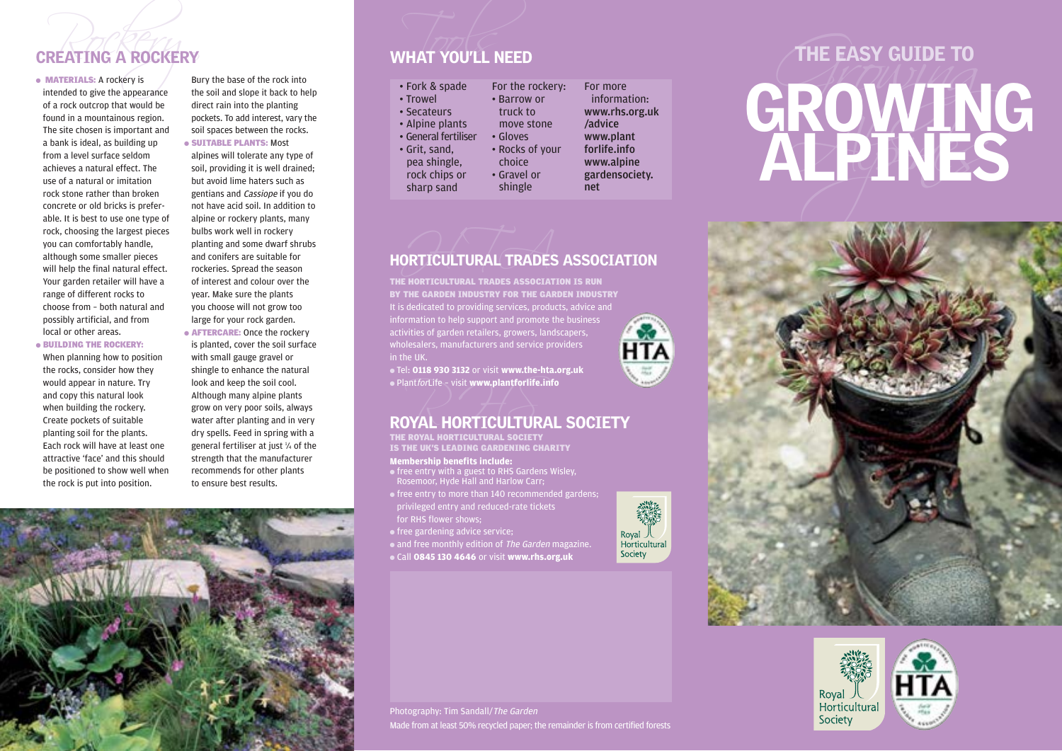of a rock outcrop that would be found in a mountainous region. The site chosen is important and a bank is ideal, as building up from a level surface seldom achieves a natural effect. The use of a natural or imitation rock stone rather than broken concrete or old bricks is preferable. It is best to use one type of rock, choosing the largest pieces you can comfortably handle, although some smaller pieces will help the final natural effect. Your garden retailer will have a range of different rocks to choose from – both natural and possibly artificial, and from local or other areas. ● BUILDING THE ROCKERY:

When planning how to position the rocks, consider how they would appear in nature. Try and copy this natural look when building the rockery. Create pockets of suitable planting soil for the plants. Each rock will have at least one attractive 'face' and this should be positioned to show well when the rock is put into position.

**CREATING A ROCKERY**<br>
MATERIALS: A rockery is sury the base of the rock into<br>
intended to give the appearance the soil and slope it back to help<br>
Parrow Profile Solid and slope it back to help<br>
Parrow Profile Solid and slo Bury the base of the rock into the soil and slope it back to help direct rain into the planting pockets. To add interest, vary the soil spaces between the rocks.

# ● SUITABLE PLANTS: Most

alpines will tolerate any type of soil, providing it is well drained; but avoid lime haters such as gentians and Cassiope if you do not have acid soil. In addition to alpine or rockery plants, many bulbs work well in rockery planting and some dwarf shrubs and conifers are suitable for rockeries. Spread the season of interest and colour over the year. Make sure the plants you choose will not grow too large for your rock garden. ● AFTERCARE: Once the rockery is planted, cover the soil surface with small gauge gravel or shingle to enhance the natural look and keep the soil cool. Although many alpine plants grow on very poor soils, always water after planting and in very dry spells. Feed in spring with a general fertiliser at just 1⁄4 of the strength that the manufacturer recommends for other plants to ensure best results.



- 
- 

# ORTICULTURAL TRADES HORTICULTURAL TRADES ASSOCIATION

THE HORTICULTURAL TRADES ASSOCIATION IS RUN BY THE GARDEN INDUSTRY FOR THE GARDEN INDUSTRY It is dedicated to providing services, products, advice and information to help support and promote the business **HTA** activities of garden retailers, growers, landscapers, wholesalers, manufacturers and service providers in the UK.

● Tel: **0118 930 3132** or visit **www.the-hta.org.uk** ● PlantforLife – visit **www.plantforlife.info**

# $\bullet$  Plant*for*Life – visit www.plantforlife.info<br>ROYAL HORTICULTURAL SOCIETY

**Membership benefits include:**  THE ROYAL HORTICULTURAL SOCIETY IS THE UK'S LEADING GARDENING CHARITY

- free entry with a guest to RHS Gardens Wisley, Rosemoor, Hyde Hall and Harlow Carr;
- free entry to more than 140 recommended gardens; privileged entry and reduced-rate tickets for RHS flower shows;
- free gardening advice service;

• and free monthly edition of The Garden magazine.

● Call **0845 130 4646** or visit **www.rhs.org.uk**



# CREATING A ROCKERY<br>
• MATERIALS: A rockery is<br>
intended to give the appearance<br>
intended to give the appearance<br>
intended to give the appearance<br>
intended to give the appearance<br>
intended to give the appearance<br>
intended t





Photography: Tim Sandall/The Garden Made from at least 50% recycled paper; the remainder is from certified forests